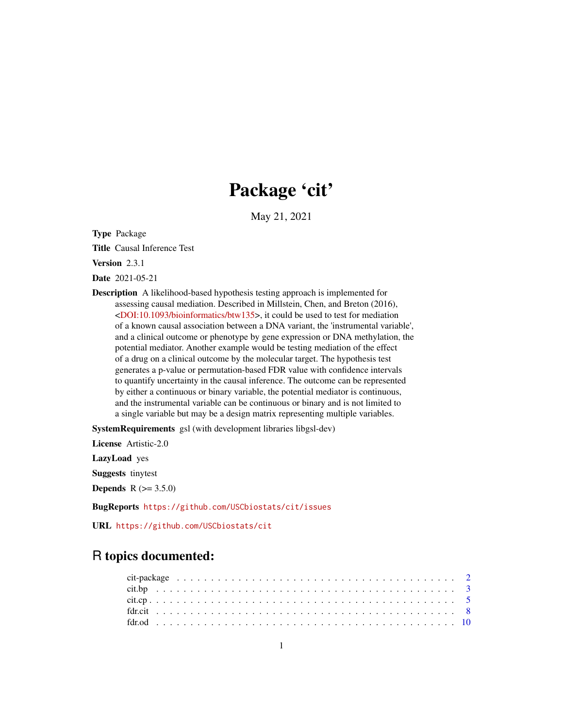## Package 'cit'

May 21, 2021

Type Package

Title Causal Inference Test

Version 2.3.1

Date 2021-05-21

Description A likelihood-based hypothesis testing approach is implemented for assessing causal mediation. Described in Millstein, Chen, and Breton (2016), [<DOI:10.1093/bioinformatics/btw135>](https://doi.org/10.1093/bioinformatics/btw135), it could be used to test for mediation of a known causal association between a DNA variant, the 'instrumental variable', and a clinical outcome or phenotype by gene expression or DNA methylation, the potential mediator. Another example would be testing mediation of the effect of a drug on a clinical outcome by the molecular target. The hypothesis test generates a p-value or permutation-based FDR value with confidence intervals to quantify uncertainty in the causal inference. The outcome can be represented by either a continuous or binary variable, the potential mediator is continuous, and the instrumental variable can be continuous or binary and is not limited to a single variable but may be a design matrix representing multiple variables.

SystemRequirements gsl (with development libraries libgsl-dev)

License Artistic-2.0

LazyLoad yes

Suggests tinytest

**Depends**  $R (= 3.5.0)$ 

BugReports <https://github.com/USCbiostats/cit/issues>

URL <https://github.com/USCbiostats/cit>

### R topics documented: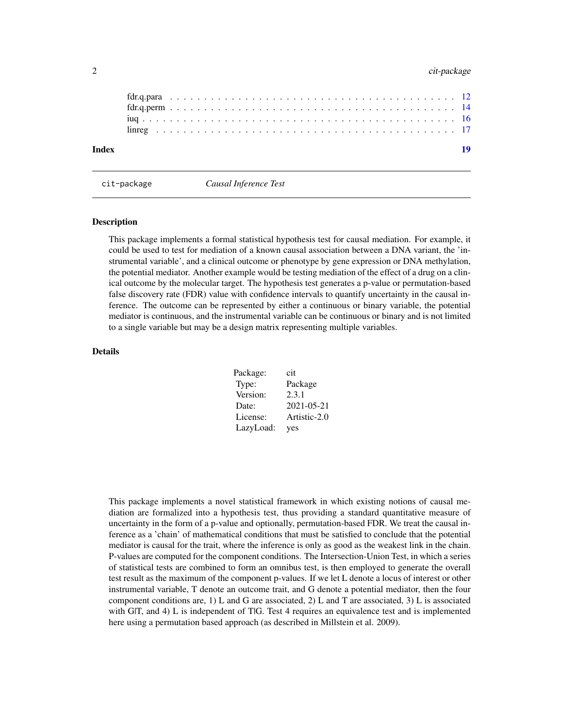#### <span id="page-1-0"></span>2 cit-package control of the control of the control of the control of the control of the control of the control of the control of the control of the control of the control of the control of the control of the control of th

| Index |  |  |  |  |  |  |  |  |  |  |  |  |  |  |  |  |  |  |  |  |  | -19 |
|-------|--|--|--|--|--|--|--|--|--|--|--|--|--|--|--|--|--|--|--|--|--|-----|
|       |  |  |  |  |  |  |  |  |  |  |  |  |  |  |  |  |  |  |  |  |  |     |
|       |  |  |  |  |  |  |  |  |  |  |  |  |  |  |  |  |  |  |  |  |  |     |
|       |  |  |  |  |  |  |  |  |  |  |  |  |  |  |  |  |  |  |  |  |  |     |
|       |  |  |  |  |  |  |  |  |  |  |  |  |  |  |  |  |  |  |  |  |  |     |
|       |  |  |  |  |  |  |  |  |  |  |  |  |  |  |  |  |  |  |  |  |  |     |

cit-package *Causal Inference Test*

#### Description

This package implements a formal statistical hypothesis test for causal mediation. For example, it could be used to test for mediation of a known causal association between a DNA variant, the 'instrumental variable', and a clinical outcome or phenotype by gene expression or DNA methylation, the potential mediator. Another example would be testing mediation of the effect of a drug on a clinical outcome by the molecular target. The hypothesis test generates a p-value or permutation-based false discovery rate (FDR) value with confidence intervals to quantify uncertainty in the causal inference. The outcome can be represented by either a continuous or binary variable, the potential mediator is continuous, and the instrumental variable can be continuous or binary and is not limited to a single variable but may be a design matrix representing multiple variables.

#### Details

| Package:  | cit              |
|-----------|------------------|
| Type:     | Package          |
| Version:  | 2.3.1            |
| Date:     | $2021 - 05 - 21$ |
| License:  | Artistic-2.0     |
| LazyLoad: | yes              |

This package implements a novel statistical framework in which existing notions of causal mediation are formalized into a hypothesis test, thus providing a standard quantitative measure of uncertainty in the form of a p-value and optionally, permutation-based FDR. We treat the causal inference as a 'chain' of mathematical conditions that must be satisfied to conclude that the potential mediator is causal for the trait, where the inference is only as good as the weakest link in the chain. P-values are computed for the component conditions. The Intersection-Union Test, in which a series of statistical tests are combined to form an omnibus test, is then employed to generate the overall test result as the maximum of the component p-values. If we let L denote a locus of interest or other instrumental variable, T denote an outcome trait, and G denote a potential mediator, then the four component conditions are, 1) L and G are associated, 2) L and T are associated, 3) L is associated with GIT, and 4) L is independent of TIG. Test 4 requires an equivalence test and is implemented here using a permutation based approach (as described in Millstein et al. 2009).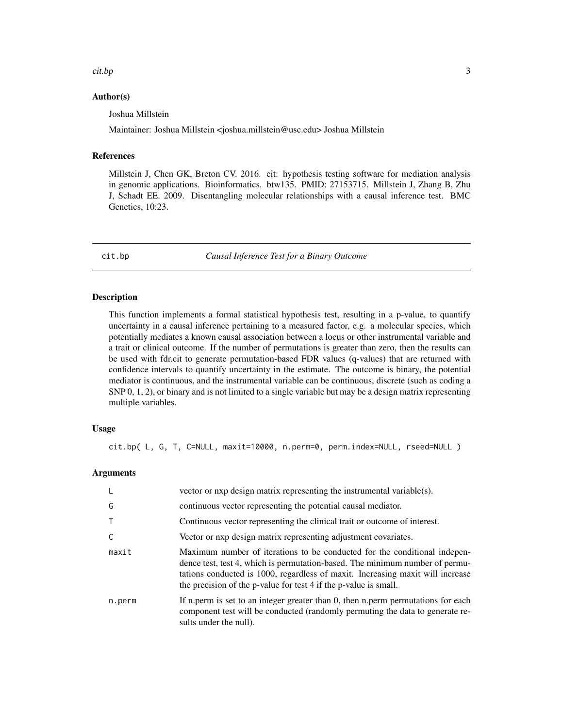#### <span id="page-2-0"></span>cit.bp 3

#### Author(s)

Joshua Millstein

Maintainer: Joshua Millstein <joshua.millstein@usc.edu> Joshua Millstein

#### References

Millstein J, Chen GK, Breton CV. 2016. cit: hypothesis testing software for mediation analysis in genomic applications. Bioinformatics. btw135. PMID: 27153715. Millstein J, Zhang B, Zhu J, Schadt EE. 2009. Disentangling molecular relationships with a causal inference test. BMC Genetics, 10:23.

cit.bp *Causal Inference Test for a Binary Outcome*

#### Description

This function implements a formal statistical hypothesis test, resulting in a p-value, to quantify uncertainty in a causal inference pertaining to a measured factor, e.g. a molecular species, which potentially mediates a known causal association between a locus or other instrumental variable and a trait or clinical outcome. If the number of permutations is greater than zero, then the results can be used with fdr.cit to generate permutation-based FDR values (q-values) that are returned with confidence intervals to quantify uncertainty in the estimate. The outcome is binary, the potential mediator is continuous, and the instrumental variable can be continuous, discrete (such as coding a SNP 0, 1, 2), or binary and is not limited to a single variable but may be a design matrix representing multiple variables.

#### Usage

cit.bp( L, G, T, C=NULL, maxit=10000, n.perm=0, perm.index=NULL, rseed=NULL )

#### Arguments

| -L     | vector or nxp design matrix representing the instrumental variable(s).                                                                                                                                                                                                                                          |
|--------|-----------------------------------------------------------------------------------------------------------------------------------------------------------------------------------------------------------------------------------------------------------------------------------------------------------------|
| G      | continuous vector representing the potential causal mediator.                                                                                                                                                                                                                                                   |
|        | Continuous vector representing the clinical trait or outcome of interest.                                                                                                                                                                                                                                       |
| C      | Vector or nxp design matrix representing adjustment covariates.                                                                                                                                                                                                                                                 |
| maxit  | Maximum number of iterations to be conducted for the conditional indepen-<br>dence test, test 4, which is permutation-based. The minimum number of permu-<br>tations conducted is 1000, regardless of maxit. Increasing maxit will increase<br>the precision of the p-value for test 4 if the p-value is small. |
| n.perm | If n, perm is set to an integer greater than 0, then n, perm permutations for each<br>component test will be conducted (randomly permuting the data to generate re-<br>sults under the null).                                                                                                                   |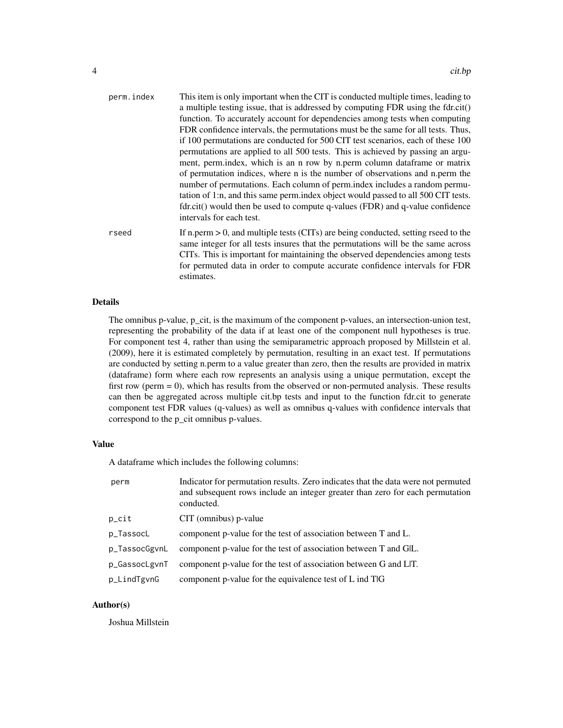| perm.index | This item is only important when the CIT is conducted multiple times, leading to<br>a multiple testing issue, that is addressed by computing FDR using the fdr.cit()<br>function. To accurately account for dependencies among tests when computing<br>FDR confidence intervals, the permutations must be the same for all tests. Thus,<br>if 100 permutations are conducted for 500 CIT test scenarios, each of these 100<br>permutations are applied to all 500 tests. This is achieved by passing an argu-<br>ment, perm.index, which is an n row by n.perm column dataframe or matrix<br>of permutation indices, where n is the number of observations and n.perm the<br>number of permutations. Each column of perm.index includes a random permu-<br>tation of 1:n, and this same perm.index object would passed to all 500 CIT tests.<br>fdr.cit() would then be used to compute q-values (FDR) and q-value confidence<br>intervals for each test. |
|------------|-----------------------------------------------------------------------------------------------------------------------------------------------------------------------------------------------------------------------------------------------------------------------------------------------------------------------------------------------------------------------------------------------------------------------------------------------------------------------------------------------------------------------------------------------------------------------------------------------------------------------------------------------------------------------------------------------------------------------------------------------------------------------------------------------------------------------------------------------------------------------------------------------------------------------------------------------------------|
| rseed      | If n.perm $> 0$ , and multiple tests (CITs) are being conducted, setting rseed to the<br>same integer for all tests insures that the permutations will be the same across<br>CITs. This is important for maintaining the observed dependencies among tests<br>for permuted data in order to compute accurate confidence intervals for FDR                                                                                                                                                                                                                                                                                                                                                                                                                                                                                                                                                                                                                 |

#### Details

The omnibus p-value, p\_cit, is the maximum of the component p-values, an intersection-union test, representing the probability of the data if at least one of the component null hypotheses is true. For component test 4, rather than using the semiparametric approach proposed by Millstein et al. (2009), here it is estimated completely by permutation, resulting in an exact test. If permutations are conducted by setting n.perm to a value greater than zero, then the results are provided in matrix (dataframe) form where each row represents an analysis using a unique permutation, except the first row (perm = 0), which has results from the observed or non-permuted analysis. These results can then be aggregated across multiple cit.bp tests and input to the function fdr.cit to generate component test FDR values (q-values) as well as omnibus q-values with confidence intervals that correspond to the p\_cit omnibus p-values.

#### Value

A dataframe which includes the following columns:

estimates.

| perm              | Indicator for permutation results. Zero indicates that the data were not permuted<br>and subsequent rows include an integer greater than zero for each permutation<br>conducted. |
|-------------------|----------------------------------------------------------------------------------------------------------------------------------------------------------------------------------|
| $p_{\text{crit}}$ | CIT (omnibus) p-value                                                                                                                                                            |
| p_TassocL         | component p-value for the test of association between T and L.                                                                                                                   |
| p_TassocGgvnL     | component p-value for the test of association between T and GIL.                                                                                                                 |
| p_GassocLgvnT     | component p-value for the test of association between G and LIT.                                                                                                                 |
| p_LindTgvnG       | component p-value for the equivalence test of L ind TlG                                                                                                                          |

#### Author(s)

Joshua Millstein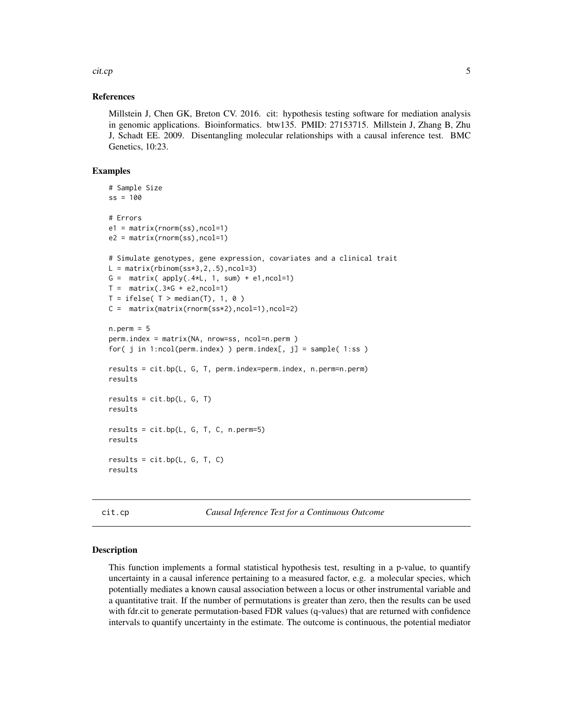<span id="page-4-0"></span>cit.cp 5

#### References

Millstein J, Chen GK, Breton CV. 2016. cit: hypothesis testing software for mediation analysis in genomic applications. Bioinformatics. btw135. PMID: 27153715. Millstein J, Zhang B, Zhu J, Schadt EE. 2009. Disentangling molecular relationships with a causal inference test. BMC Genetics, 10:23.

#### Examples

```
# Sample Size
ss = 100# Errors
e1 = matrix(rnorm(ss),ncol=1)
e2 = matrix(rnorm(ss),ncol=1)
# Simulate genotypes, gene expression, covariates and a clinical trait
L = matrix(rbinom(s s * 3, 2, .5), ncol = 3)G = matrix(apply(.4*L, 1, sum) + e1, ncol=1)T = matrix(.3*G + e2, ncol=1)T = ifelse( T > median(T), 1, 0)C = matrix(maxrix(norm(ss*2),ncol=1),ncol=2)n.perm = 5perm.index = matrix(NA, nrow=ss, ncol=n.perm )
for( j in 1:ncol(perm.index) ) perm.index[, jj = sample( 1:ss )
results = cit.bp(L, G, T, perm.index=perm.index, n.perm=n.perm)
results
results = cit.bp(L, G, T)results
results = cit.bp(L, G, T, C, n.perm=5)
results
results = cit.bp(L, G, T, C)results
```
cit.cp *Causal Inference Test for a Continuous Outcome*

#### Description

This function implements a formal statistical hypothesis test, resulting in a p-value, to quantify uncertainty in a causal inference pertaining to a measured factor, e.g. a molecular species, which potentially mediates a known causal association between a locus or other instrumental variable and a quantitative trait. If the number of permutations is greater than zero, then the results can be used with fdr.cit to generate permutation-based FDR values (q-values) that are returned with confidence intervals to quantify uncertainty in the estimate. The outcome is continuous, the potential mediator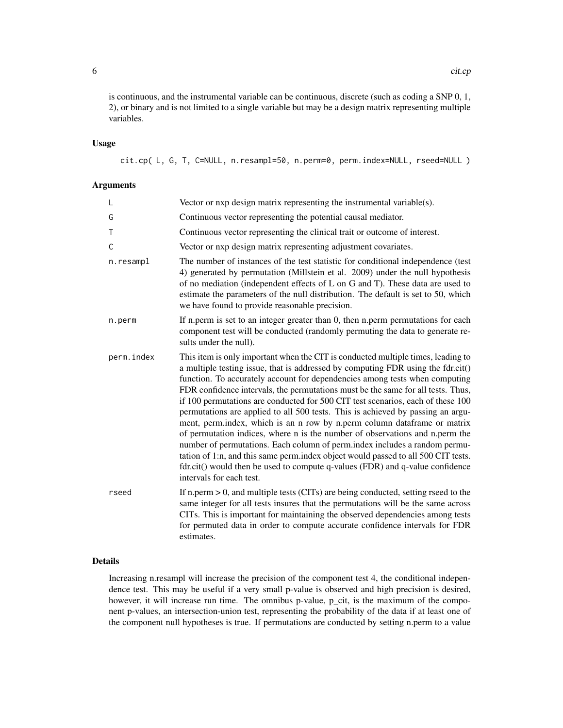is continuous, and the instrumental variable can be continuous, discrete (such as coding a SNP 0, 1, 2), or binary and is not limited to a single variable but may be a design matrix representing multiple variables.

#### Usage

cit.cp( L, G, T, C=NULL, n.resampl=50, n.perm=0, perm.index=NULL, rseed=NULL )

#### Arguments

| L          | Vector or $nxp$ design matrix representing the instrumental variable $(s)$ .                                                                                                                                                                                                                                                                                                                                                                                                                                                                                                                                                                                                                                                                                                                                                                                                                                                                              |
|------------|-----------------------------------------------------------------------------------------------------------------------------------------------------------------------------------------------------------------------------------------------------------------------------------------------------------------------------------------------------------------------------------------------------------------------------------------------------------------------------------------------------------------------------------------------------------------------------------------------------------------------------------------------------------------------------------------------------------------------------------------------------------------------------------------------------------------------------------------------------------------------------------------------------------------------------------------------------------|
| G          | Continuous vector representing the potential causal mediator.                                                                                                                                                                                                                                                                                                                                                                                                                                                                                                                                                                                                                                                                                                                                                                                                                                                                                             |
| T          | Continuous vector representing the clinical trait or outcome of interest.                                                                                                                                                                                                                                                                                                                                                                                                                                                                                                                                                                                                                                                                                                                                                                                                                                                                                 |
| Ċ          | Vector or nxp design matrix representing adjustment covariates.                                                                                                                                                                                                                                                                                                                                                                                                                                                                                                                                                                                                                                                                                                                                                                                                                                                                                           |
| n.resampl  | The number of instances of the test statistic for conditional independence (test<br>4) generated by permutation (Millstein et al. 2009) under the null hypothesis<br>of no mediation (independent effects of L on G and T). These data are used to<br>estimate the parameters of the null distribution. The default is set to 50, which<br>we have found to provide reasonable precision.                                                                                                                                                                                                                                                                                                                                                                                                                                                                                                                                                                 |
| n.perm     | If n.perm is set to an integer greater than 0, then n.perm permutations for each<br>component test will be conducted (randomly permuting the data to generate re-<br>sults under the null).                                                                                                                                                                                                                                                                                                                                                                                                                                                                                                                                                                                                                                                                                                                                                               |
| perm.index | This item is only important when the CIT is conducted multiple times, leading to<br>a multiple testing issue, that is addressed by computing FDR using the fdr.cit()<br>function. To accurately account for dependencies among tests when computing<br>FDR confidence intervals, the permutations must be the same for all tests. Thus,<br>if 100 permutations are conducted for 500 CIT test scenarios, each of these 100<br>permutations are applied to all 500 tests. This is achieved by passing an argu-<br>ment, perm.index, which is an n row by n.perm column dataframe or matrix<br>of permutation indices, where n is the number of observations and n.perm the<br>number of permutations. Each column of perm.index includes a random permu-<br>tation of 1:n, and this same perm.index object would passed to all 500 CIT tests.<br>fdr.cit() would then be used to compute q-values (FDR) and q-value confidence<br>intervals for each test. |
| rseed      | If n.perm $> 0$ , and multiple tests (CITs) are being conducted, setting rseed to the<br>same integer for all tests insures that the permutations will be the same across<br>CITs. This is important for maintaining the observed dependencies among tests<br>for permuted data in order to compute accurate confidence intervals for FDR<br>estimates.                                                                                                                                                                                                                                                                                                                                                                                                                                                                                                                                                                                                   |

#### Details

Increasing n.resampl will increase the precision of the component test 4, the conditional independence test. This may be useful if a very small p-value is observed and high precision is desired, however, it will increase run time. The omnibus p-value, p\_cit, is the maximum of the component p-values, an intersection-union test, representing the probability of the data if at least one of the component null hypotheses is true. If permutations are conducted by setting n.perm to a value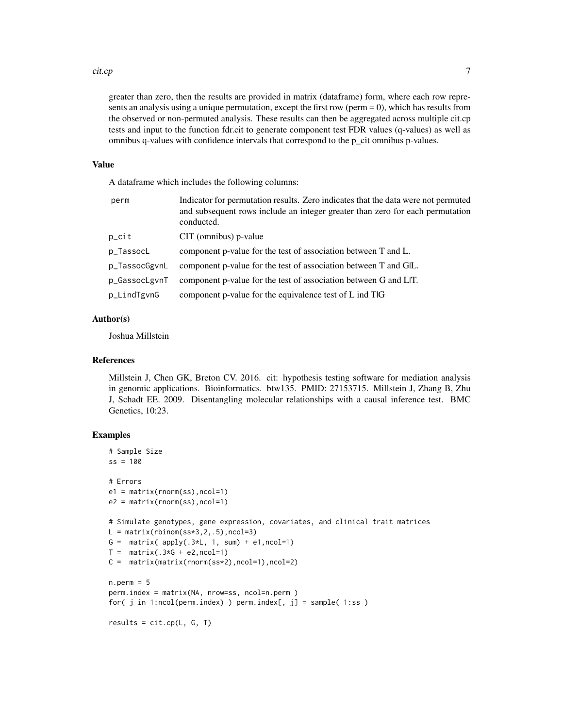#### cit.cp 7

greater than zero, then the results are provided in matrix (dataframe) form, where each row represents an analysis using a unique permutation, except the first row ( $perm = 0$ ), which has results from the observed or non-permuted analysis. These results can then be aggregated across multiple cit.cp tests and input to the function fdr.cit to generate component test FDR values (q-values) as well as omnibus q-values with confidence intervals that correspond to the p\_cit omnibus p-values.

#### Value

A dataframe which includes the following columns:

| perm              | Indicator for permutation results. Zero indicates that the data were not permuted<br>and subsequent rows include an integer greater than zero for each permutation<br>conducted. |
|-------------------|----------------------------------------------------------------------------------------------------------------------------------------------------------------------------------|
| $p_{\text{crit}}$ | CIT (omnibus) p-value                                                                                                                                                            |
| p_TassocL         | component p-value for the test of association between T and L.                                                                                                                   |
| p_TassocGgvnL     | component p-value for the test of association between T and GIL.                                                                                                                 |
| p_GassocLgvnT     | component p-value for the test of association between G and LIT.                                                                                                                 |
| p_LindTgvnG       | component p-value for the equivalence test of L ind TlG                                                                                                                          |

#### Author(s)

Joshua Millstein

#### References

Millstein J, Chen GK, Breton CV. 2016. cit: hypothesis testing software for mediation analysis in genomic applications. Bioinformatics. btw135. PMID: 27153715. Millstein J, Zhang B, Zhu J, Schadt EE. 2009. Disentangling molecular relationships with a causal inference test. BMC Genetics, 10:23.

```
# Sample Size
ss = 100# Errors
e1 = matrix(rnorm(ss),ncol=1)
e2 = matrix(rnorm(ss),ncol=1)
# Simulate genotypes, gene expression, covariates, and clinical trait matrices
L = matrix(rbinom(s s * 3, 2, .5), ncol = 3)G = matrix( apply(.3*L, 1, sum) + e1, ncol=1)
T = matrix(.3*G + e2, ncol=1)C = matrix(matrix(rnorm(ss*2),ncol=1),ncol=2)
n.perm = 5
perm.index = matrix(NA, nrow=ss, ncol=n.perm )
for( j in 1:ncol(perm.index) ) perm.index[, j] = sample( 1:ss )
results = cit.cp(L, G, T)
```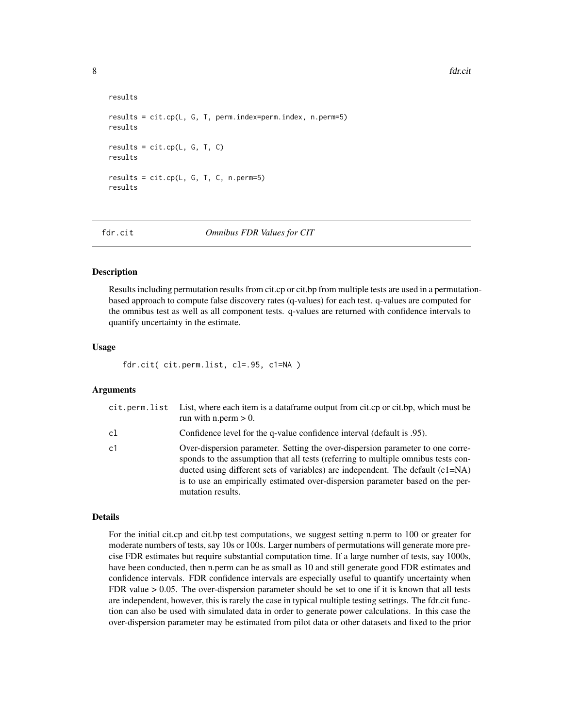8 fdr.cit **8** fdr.cit **10** fdr.cit **10** fdr.cit **10** fdr.cit **10** fdr.cit **10** fdr.cit **10** fdr.cit **10** fdr.cit **10** fdr.cit **10** fdr.cit **10** fdr.cit **10** fdr.cit **10 fdr.cit 10 fdr.cit 10 fdr.cit 10 fdr.ci** 

```
results
results = cit.cp(L, G, T, perm.index=perm.index, n.perm=5)
results
results = cit.cp(L, G, T, C)results
results = cit.cp(L, G, T, C, n.perm=5)results
```
fdr.cit *Omnibus FDR Values for CIT*

#### **Description**

Results including permutation results from cit.cp or cit.bp from multiple tests are used in a permutationbased approach to compute false discovery rates (q-values) for each test. q-values are computed for the omnibus test as well as all component tests. q-values are returned with confidence intervals to quantify uncertainty in the estimate.

#### Usage

fdr.cit( cit.perm.list, cl=.95, c1=NA )

#### **Arguments**

| cit.perm.list | List, where each item is a dataframe output from cit.cp or cit.bp, which must be<br>run with n.perm $> 0$ .                                                                                                                                                                                                                                                    |
|---------------|----------------------------------------------------------------------------------------------------------------------------------------------------------------------------------------------------------------------------------------------------------------------------------------------------------------------------------------------------------------|
| cl            | Oonfidence level for the q-value confidence interval (default is 0.95).                                                                                                                                                                                                                                                                                        |
| c1            | Over-dispersion parameter. Setting the over-dispersion parameter to one corre-<br>sponds to the assumption that all tests (referring to multiple omnibus tests con-<br>ducted using different sets of variables) are independent. The default $(c1=NA)$<br>is to use an empirically estimated over-dispersion parameter based on the per-<br>mutation results. |

#### Details

For the initial cit.cp and cit.bp test computations, we suggest setting n.perm to 100 or greater for moderate numbers of tests, say 10s or 100s. Larger numbers of permutations will generate more precise FDR estimates but require substantial computation time. If a large number of tests, say 1000s, have been conducted, then n.perm can be as small as 10 and still generate good FDR estimates and confidence intervals. FDR confidence intervals are especially useful to quantify uncertainty when FDR value  $> 0.05$ . The over-dispersion parameter should be set to one if it is known that all tests are independent, however, this is rarely the case in typical multiple testing settings. The fdr.cit function can also be used with simulated data in order to generate power calculations. In this case the over-dispersion parameter may be estimated from pilot data or other datasets and fixed to the prior

<span id="page-7-0"></span>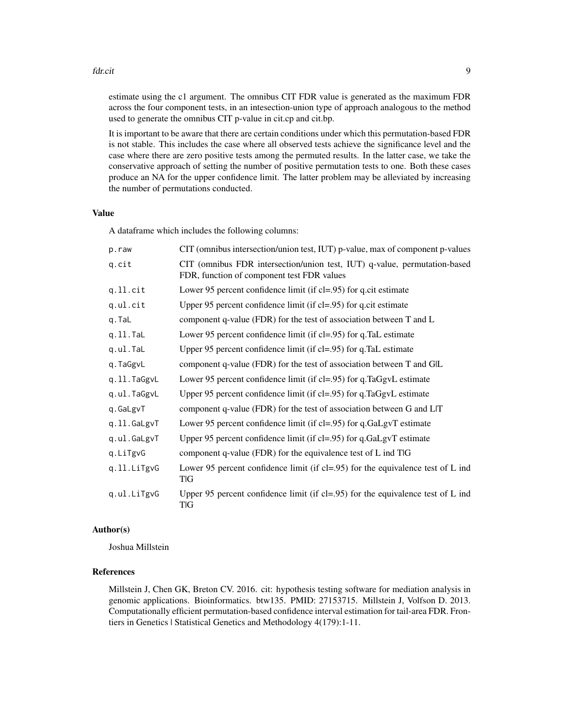#### fdr.cit 99

estimate using the c1 argument. The omnibus CIT FDR value is generated as the maximum FDR across the four component tests, in an intesection-union type of approach analogous to the method used to generate the omnibus CIT p-value in cit.cp and cit.bp.

It is important to be aware that there are certain conditions under which this permutation-based FDR is not stable. This includes the case where all observed tests achieve the significance level and the case where there are zero positive tests among the permuted results. In the latter case, we take the conservative approach of setting the number of positive permutation tests to one. Both these cases produce an NA for the upper confidence limit. The latter problem may be alleviated by increasing the number of permutations conducted.

#### Value

A dataframe which includes the following columns:

| p.raw       | CIT (omnibus intersection/union test, IUT) p-value, max of component p-values                                           |
|-------------|-------------------------------------------------------------------------------------------------------------------------|
| q.cit       | CIT (omnibus FDR intersection/union test, IUT) q-value, permutation-based<br>FDR, function of component test FDR values |
| $q.ll.$ cit | Lower 95 percent confidence limit (if $cl = .95$ ) for q.cit estimate                                                   |
| q.ul.cit    | Upper 95 percent confidence limit (if cl=.95) for q.cit estimate                                                        |
| q.TaL       | component q-value (FDR) for the test of association between T and L                                                     |
| q.ll.Tal    | Lower 95 percent confidence limit (if cl=.95) for q.TaL estimate                                                        |
| q.ul.TaL    | Upper 95 percent confidence limit (if cl=.95) for q.TaL estimate                                                        |
| q.TaGgvL    | component q-value (FDR) for the test of association between T and GIL                                                   |
| q.11.TaGgvL | Lower 95 percent confidence limit (if cl=.95) for q.TaGgvL estimate                                                     |
| q.ul.TaGgvL | Upper 95 percent confidence limit (if cl=.95) for q.TaGgvL estimate                                                     |
| q.GaLgvT    | component q-value (FDR) for the test of association between G and LIT                                                   |
| q.ll.GaLgvT | Lower 95 percent confidence limit (if cl=.95) for q.GaLgvT estimate                                                     |
| q.ul.GaLgvT | Upper 95 percent confidence limit (if cl=.95) for q.GaLgvT estimate                                                     |
| q.LiTgvG    | component q-value (FDR) for the equivalence test of $L$ ind $T G$                                                       |
| q.ll.LiTgvG | Lower 95 percent confidence limit (if $cl = .95$ ) for the equivalence test of L ind<br>TIG                             |
| q.ul.LiTgvG | Upper 95 percent confidence limit (if cl=.95) for the equivalence test of $L$ ind<br>TIG                                |

#### Author(s)

Joshua Millstein

#### References

Millstein J, Chen GK, Breton CV. 2016. cit: hypothesis testing software for mediation analysis in genomic applications. Bioinformatics. btw135. PMID: 27153715. Millstein J, Volfson D. 2013. Computationally efficient permutation-based confidence interval estimation for tail-area FDR. Frontiers in Genetics | Statistical Genetics and Methodology 4(179):1-11.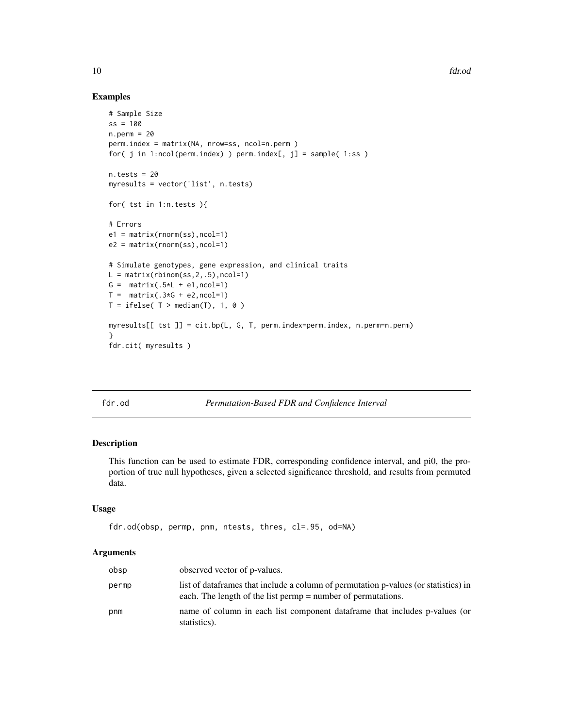10 fdr.od

#### Examples

```
# Sample Size
ss = 100n.perm = 20
perm.index = matrix(NA, nrow=ss, ncol=n.perm )
for( j in 1:ncol(perm.index) ) perm.index[, j] = sample( 1:ss )
n.tests = 20
myresults = vector('list', n.tests)
for( tst in 1:n.tests ){
# Errors
e1 = matrix(rnorm(ss),ncol=1)
e2 = matrix(rnorm(ss),ncol=1)
# Simulate genotypes, gene expression, and clinical traits
L = matrix(rbinom(s_5, 2, .5), ncol=1)G = matrix(.5*L + e1, ncol=1)T = matrix(.3*G + e2, ncol=1)T = ifelse( T > median(T), 1, 0)myresults[[ tst ]] = cit.bp(L, G, T, perm.index=perm.index, n.perm=n.perm)
}
fdr.cit( myresults )
```
fdr.od *Permutation-Based FDR and Confidence Interval*

#### Description

This function can be used to estimate FDR, corresponding confidence interval, and pi0, the proportion of true null hypotheses, given a selected significance threshold, and results from permuted data.

#### Usage

```
fdr.od(obsp, permp, pnm, ntests, thres, cl=.95, od=NA)
```
#### Arguments

| obsp  | observed vector of p-values.                                                                                                                         |
|-------|------------------------------------------------------------------------------------------------------------------------------------------------------|
| permp | list of data frames that include a column of permutation p-values (or statistics) in<br>each. The length of the list permp = number of permutations. |
| pnm   | name of column in each list component data frame that includes p-values (or<br>statistics).                                                          |

<span id="page-9-0"></span>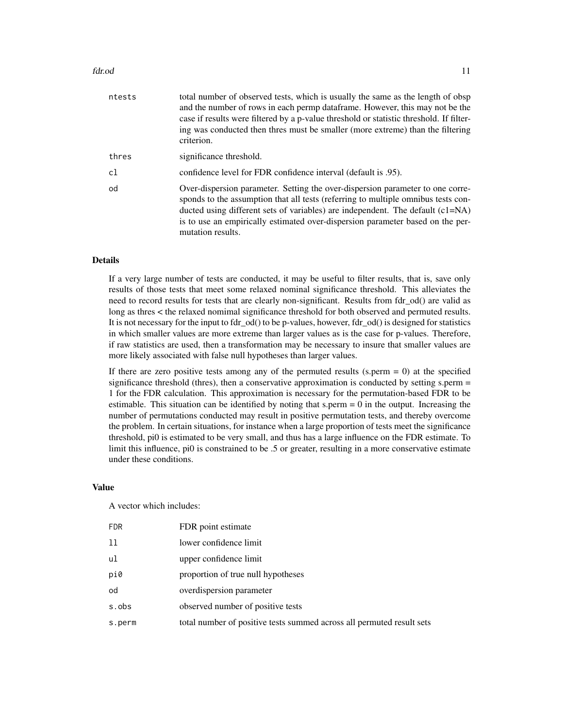#### fdr.od 11

| ntests | total number of observed tests, which is usually the same as the length of obsp<br>and the number of rows in each permp dataframe. However, this may not be the<br>case if results were filtered by a p-value threshold or statistic threshold. If filter-<br>ing was conducted then thres must be smaller (more extreme) than the filtering<br>criterion.     |
|--------|----------------------------------------------------------------------------------------------------------------------------------------------------------------------------------------------------------------------------------------------------------------------------------------------------------------------------------------------------------------|
| thres  | significance threshold.                                                                                                                                                                                                                                                                                                                                        |
| c1     | confidence level for FDR confidence interval (default is .95).                                                                                                                                                                                                                                                                                                 |
| od     | Over-dispersion parameter. Setting the over-dispersion parameter to one corre-<br>sponds to the assumption that all tests (referring to multiple omnibus tests con-<br>ducted using different sets of variables) are independent. The default $(c1=NA)$<br>is to use an empirically estimated over-dispersion parameter based on the per-<br>mutation results. |

#### **Details**

If a very large number of tests are conducted, it may be useful to filter results, that is, save only results of those tests that meet some relaxed nominal significance threshold. This alleviates the need to record results for tests that are clearly non-significant. Results from fdr od() are valid as long as thres < the relaxed nomimal significance threshold for both observed and permuted results. It is not necessary for the input to fdr\_od() to be p-values, however, fdr\_od() is designed for statistics in which smaller values are more extreme than larger values as is the case for p-values. Therefore, if raw statistics are used, then a transformation may be necessary to insure that smaller values are more likely associated with false null hypotheses than larger values.

If there are zero positive tests among any of the permuted results (s.perm  $= 0$ ) at the specified significance threshold (thres), then a conservative approximation is conducted by setting s.perm = 1 for the FDR calculation. This approximation is necessary for the permutation-based FDR to be estimable. This situation can be identified by noting that s.perm  $= 0$  in the output. Increasing the number of permutations conducted may result in positive permutation tests, and thereby overcome the problem. In certain situations, for instance when a large proportion of tests meet the significance threshold, pi0 is estimated to be very small, and thus has a large influence on the FDR estimate. To limit this influence, pi0 is constrained to be .5 or greater, resulting in a more conservative estimate under these conditions.

#### Value

A vector which includes:

| <b>FDR</b> | FDR point estimate                                                    |
|------------|-----------------------------------------------------------------------|
| 11         | lower confidence limit                                                |
| ul         | upper confidence limit                                                |
| pi0        | proportion of true null hypotheses                                    |
| od         | overdispersion parameter                                              |
| s.obs      | observed number of positive tests                                     |
| s.perm     | total number of positive tests summed across all permuted result sets |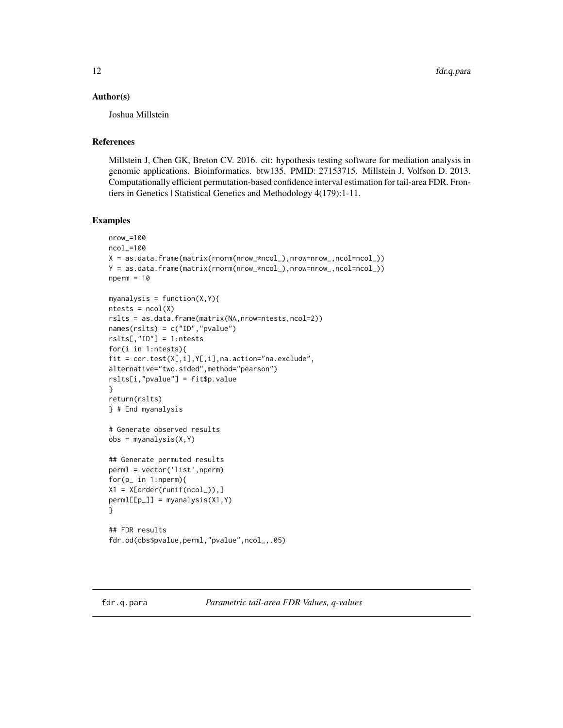#### <span id="page-11-0"></span>Author(s)

Joshua Millstein

#### References

Millstein J, Chen GK, Breton CV. 2016. cit: hypothesis testing software for mediation analysis in genomic applications. Bioinformatics. btw135. PMID: 27153715. Millstein J, Volfson D. 2013. Computationally efficient permutation-based confidence interval estimation for tail-area FDR. Frontiers in Genetics | Statistical Genetics and Methodology 4(179):1-11.

```
nrow_=100
ncol_=100
X = as.data.frame(matrix(rnorm(nrow_*ncol_),nrow=nrow_,ncol=ncol_))
Y = as.data.frame(matrix(rnorm(nrow_*ncol_),nrow=nrow_,ncol=ncol_))
nperm = 10myanalysis = function(X, Y){
ntests = ncol(X)rslts = as.data.frame(matrix(NA,nrow=ntests,ncol=2))
names(rslts) = c("ID","pvalue")
rslts[,"ID"] = 1:ntests
for(i in 1:ntests){
fit = cor.test(X[,i],Y[,i],na.action="na.exclude",
alternative="two.sided",method="pearson")
rslts[i,"pvalue"] = fit$p.value
}
return(rslts)
} # End myanalysis
# Generate observed results
obs = myanalysis(X, Y)## Generate permuted results
perml = vector('list',nperm)
for(p_ in 1:nperm){
X1 = X[order(runif(ncol_{<b></b>)),]perm[[p_]] = myanalysis(X1, Y)}
## FDR results
fdr.od(obs$pvalue,perml,"pvalue",ncol_,.05)
```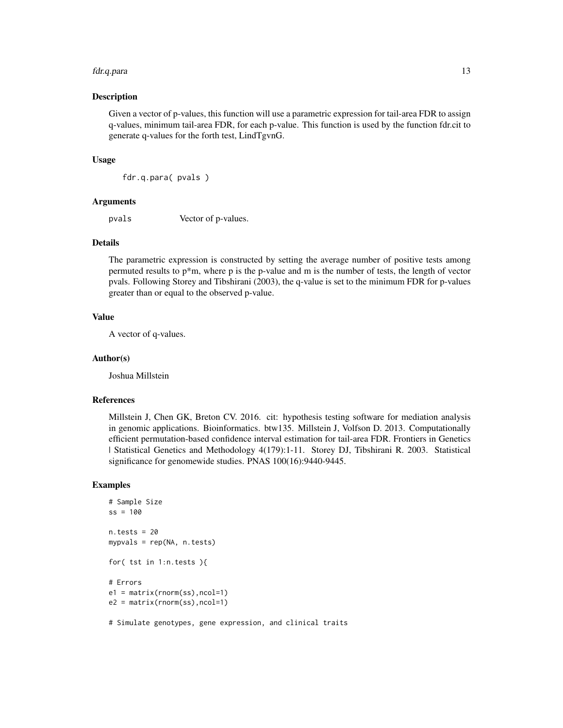#### fdr.q.para 13

#### Description

Given a vector of p-values, this function will use a parametric expression for tail-area FDR to assign q-values, minimum tail-area FDR, for each p-value. This function is used by the function fdr.cit to generate q-values for the forth test, LindTgvnG.

#### Usage

fdr.q.para( pvals )

#### Arguments

pvals Vector of p-values.

#### Details

The parametric expression is constructed by setting the average number of positive tests among permuted results to  $p^*m$ , where p is the p-value and m is the number of tests, the length of vector pvals. Following Storey and Tibshirani (2003), the q-value is set to the minimum FDR for p-values greater than or equal to the observed p-value.

#### Value

A vector of q-values.

#### Author(s)

Joshua Millstein

#### References

Millstein J, Chen GK, Breton CV. 2016. cit: hypothesis testing software for mediation analysis in genomic applications. Bioinformatics. btw135. Millstein J, Volfson D. 2013. Computationally efficient permutation-based confidence interval estimation for tail-area FDR. Frontiers in Genetics | Statistical Genetics and Methodology 4(179):1-11. Storey DJ, Tibshirani R. 2003. Statistical significance for genomewide studies. PNAS 100(16):9440-9445.

```
# Sample Size
ss = 100n.tests = 20
mypvals = rep(NA, n.tests)
for( tst in 1:n.tests ){
# Errors
e1 = matrix(rnorm(ss),ncol=1)
e2 = matrix(rnorm(ss),ncol=1)
# Simulate genotypes, gene expression, and clinical traits
```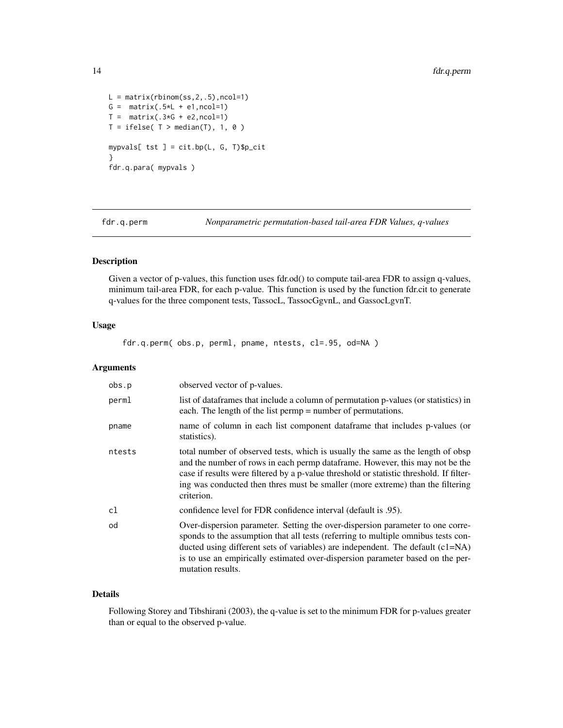```
L = matrix(rbinom(s_5, 2, .5), ncol=1)G = matrix(.5*L + e1, ncol=1)T = matrix(.3*G + e2, ncol=1)T = ifelse( T > median(T), 1, 0)mypvals[ tst ] = cit.bp(L, G, T)$p_cit
}
fdr.q.para( mypvals )
```
fdr.q.perm *Nonparametric permutation-based tail-area FDR Values, q-values*

#### Description

Given a vector of p-values, this function uses fdr.od() to compute tail-area FDR to assign q-values, minimum tail-area FDR, for each p-value. This function is used by the function fdr.cit to generate q-values for the three component tests, TassocL, TassocGgvnL, and GassocLgvnT.

#### Usage

fdr.q.perm( obs.p, perml, pname, ntests, cl=.95, od=NA )

#### Arguments

| obs.p  | observed vector of p-values.                                                                                                                                                                                                                                                                                                                                 |
|--------|--------------------------------------------------------------------------------------------------------------------------------------------------------------------------------------------------------------------------------------------------------------------------------------------------------------------------------------------------------------|
| perml  | list of data frames that include a column of permutation p-values (or statistics) in<br>each. The length of the list permp = number of permutations.                                                                                                                                                                                                         |
| pname  | name of column in each list component data frame that includes p-values (or<br>statistics).                                                                                                                                                                                                                                                                  |
| ntests | total number of observed tests, which is usually the same as the length of obsp<br>and the number of rows in each permp dataframe. However, this may not be the<br>case if results were filtered by a p-value threshold or statistic threshold. If filter-<br>ing was conducted then thres must be smaller (more extreme) than the filtering<br>criterion.   |
| cl     | confidence level for FDR confidence interval (default is .95).                                                                                                                                                                                                                                                                                               |
| od     | Over-dispersion parameter. Setting the over-dispersion parameter to one corre-<br>sponds to the assumption that all tests (referring to multiple omnibus tests con-<br>ducted using different sets of variables) are independent. The default (c1=NA)<br>is to use an empirically estimated over-dispersion parameter based on the per-<br>mutation results. |

#### Details

Following Storey and Tibshirani (2003), the q-value is set to the minimum FDR for p-values greater than or equal to the observed p-value.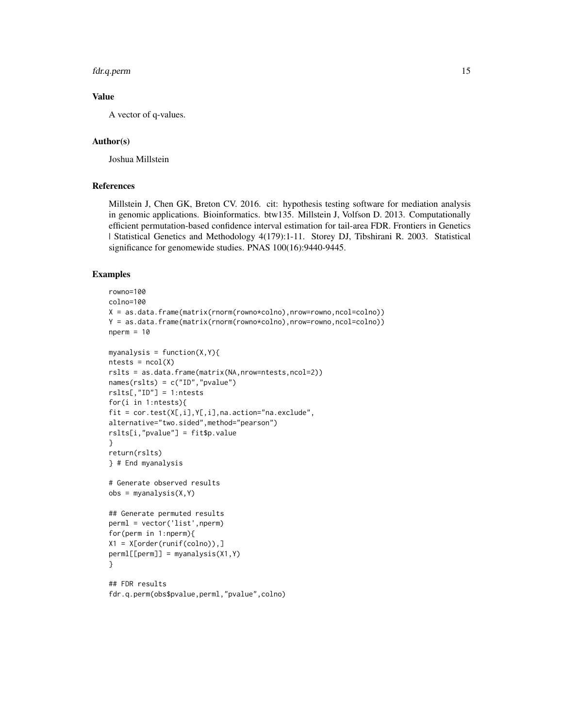#### fdr.q.perm 15

#### Value

A vector of q-values.

#### Author(s)

Joshua Millstein

#### References

Millstein J, Chen GK, Breton CV. 2016. cit: hypothesis testing software for mediation analysis in genomic applications. Bioinformatics. btw135. Millstein J, Volfson D. 2013. Computationally efficient permutation-based confidence interval estimation for tail-area FDR. Frontiers in Genetics | Statistical Genetics and Methodology 4(179):1-11. Storey DJ, Tibshirani R. 2003. Statistical significance for genomewide studies. PNAS 100(16):9440-9445.

```
rowno=100
colno=100
X = as.data frame(matrix(rnorm(rowno * colon), nrow=rowno, ncol= colon))Y = as.data.frame(matrix(rnorm(rowno*colno),nrow=rowno,ncol=colno))
nperm = 10myanalysis = function(X, Y)ntests = ncol(X)rslts = as.data.frame(matrix(NA,nrow=ntests,ncol=2))
names(rslts) = c("ID","pvalue")
rslts[,"ID"] = 1:ntests
for(i in 1:ntests){
fit = cor.test(X[,i],Y[,i],na.action="na.exclude",
alternative="two.sided",method="pearson")
rslts[i,"pvalue"] = fit$p.value
}
return(rslts)
} # End myanalysis
# Generate observed results
obs = myanalysis(X, Y)## Generate permuted results
perml = vector('list',nperm)
for(perm in 1:nperm){
X1 = X[order(runif(colno)),
perml[[perm]] = myanalysis(X1,Y)
}
## FDR results
fdr.q.perm(obs$pvalue,perml,"pvalue",colno)
```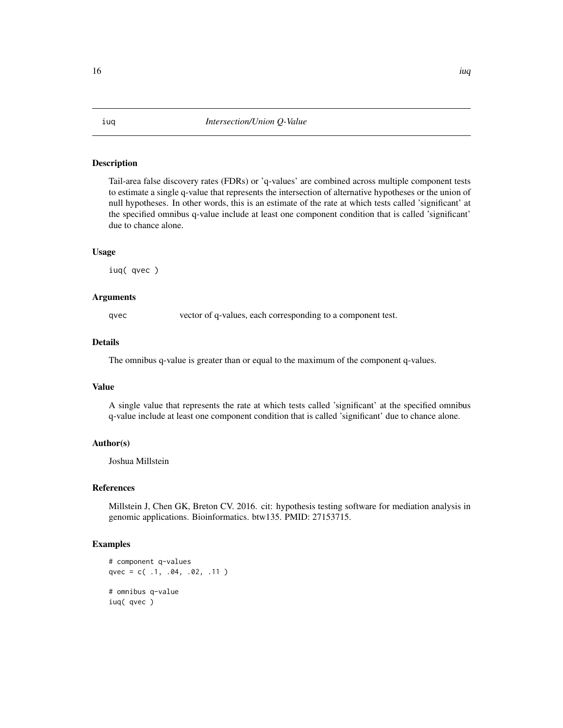#### <span id="page-15-0"></span>Description

Tail-area false discovery rates (FDRs) or 'q-values' are combined across multiple component tests to estimate a single q-value that represents the intersection of alternative hypotheses or the union of null hypotheses. In other words, this is an estimate of the rate at which tests called 'significant' at the specified omnibus q-value include at least one component condition that is called 'significant' due to chance alone.

#### Usage

iuq( qvec )

#### Arguments

qvec vector of q-values, each corresponding to a component test.

#### Details

The omnibus q-value is greater than or equal to the maximum of the component q-values.

#### Value

A single value that represents the rate at which tests called 'significant' at the specified omnibus q-value include at least one component condition that is called 'significant' due to chance alone.

#### Author(s)

Joshua Millstein

#### References

Millstein J, Chen GK, Breton CV. 2016. cit: hypothesis testing software for mediation analysis in genomic applications. Bioinformatics. btw135. PMID: 27153715.

```
# component q-values
qvec = c( .1, .04, .02, .11 )
# omnibus q-value
iuq( qvec )
```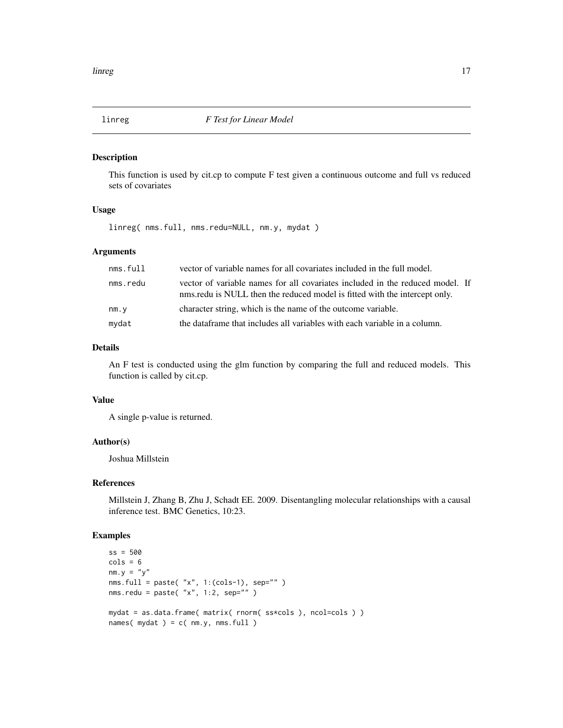<span id="page-16-0"></span>

#### Description

This function is used by cit.cp to compute F test given a continuous outcome and full vs reduced sets of covariates

#### Usage

linreg( nms.full, nms.redu=NULL, nm.y, mydat )

#### Arguments

| nms.full | vector of variable names for all covariates included in the full model.                                                                                     |
|----------|-------------------------------------------------------------------------------------------------------------------------------------------------------------|
| nms.redu | vector of variable names for all covariates included in the reduced model. If<br>nms.redu is NULL then the reduced model is fitted with the intercept only. |
| nm.y     | character string, which is the name of the outcome variable.                                                                                                |
| mydat    | the dataframe that includes all variables with each variable in a column.                                                                                   |

#### Details

An F test is conducted using the glm function by comparing the full and reduced models. This function is called by cit.cp.

#### Value

A single p-value is returned.

#### Author(s)

Joshua Millstein

#### References

Millstein J, Zhang B, Zhu J, Schadt EE. 2009. Disentangling molecular relationships with a causal inference test. BMC Genetics, 10:23.

```
ss = 500
cols = 6nm.y = "y"nms.full = paste( "x", 1:(cols-1), sep="" )
nms.redu = paste("x", 1:2, sep='")
mydat = as.data.frame( matrix( rnorm( ss*cols ), ncol=cols ) )
names(mydat) = c(nm.y, nms-full)
```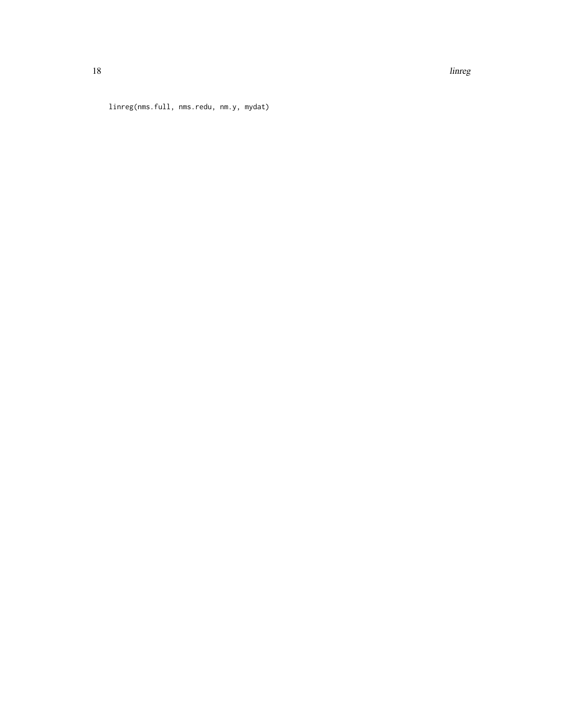18 linney and the state of the state of the state of the state of the state of the state of the state of the state of the state of the state of the state of the state of the state of the state of the state of the state of

linreg(nms.full, nms.redu, nm.y, mydat)